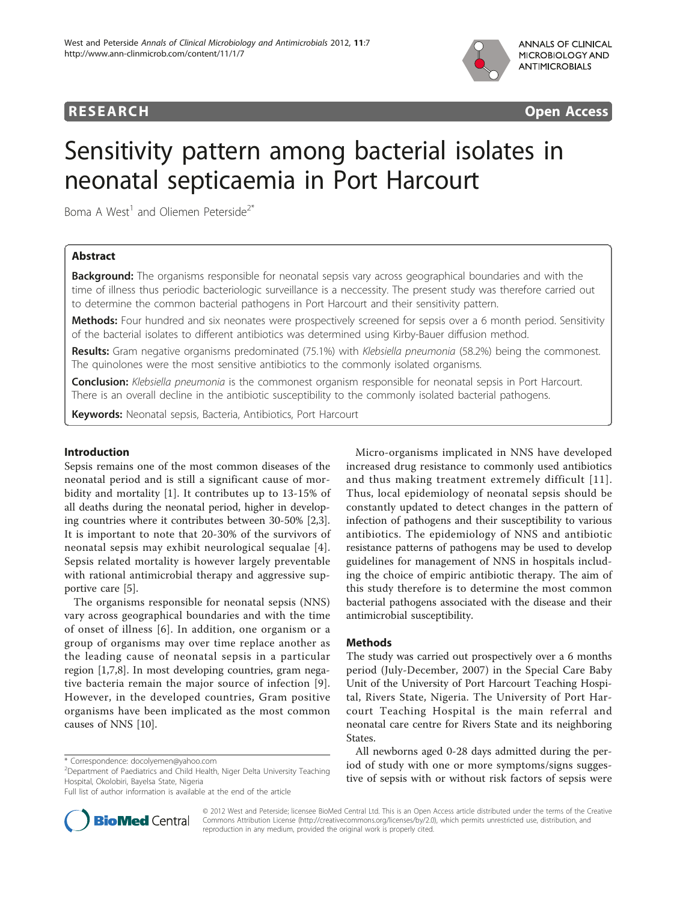

**RESEARCH CONSUMING ACCESS** 

# Sensitivity pattern among bacterial isolates in neonatal septicaemia in Port Harcourt

Boma A West<sup>1</sup> and Oliemen Peterside<sup>2\*</sup>

# Abstract

**Background:** The organisms responsible for neonatal sepsis vary across geographical boundaries and with the time of illness thus periodic bacteriologic surveillance is a neccessity. The present study was therefore carried out to determine the common bacterial pathogens in Port Harcourt and their sensitivity pattern.

Methods: Four hundred and six neonates were prospectively screened for sepsis over a 6 month period. Sensitivity of the bacterial isolates to different antibiotics was determined using Kirby-Bauer diffusion method.

Results: Gram negative organisms predominated (75.1%) with Klebsiella pneumonia (58.2%) being the commonest. The quinolones were the most sensitive antibiotics to the commonly isolated organisms.

Conclusion: Klebsiella pneumonia is the commonest organism responsible for neonatal sepsis in Port Harcourt. There is an overall decline in the antibiotic susceptibility to the commonly isolated bacterial pathogens.

Keywords: Neonatal sepsis, Bacteria, Antibiotics, Port Harcourt

# Introduction

Sepsis remains one of the most common diseases of the neonatal period and is still a significant cause of morbidity and mortality [\[1\]](#page-4-0). It contributes up to 13-15% of all deaths during the neonatal period, higher in developing countries where it contributes between 30-50% [\[2,3](#page-4-0)]. It is important to note that 20-30% of the survivors of neonatal sepsis may exhibit neurological sequalae [[4](#page-4-0)]. Sepsis related mortality is however largely preventable with rational antimicrobial therapy and aggressive supportive care [[5\]](#page-4-0).

The organisms responsible for neonatal sepsis (NNS) vary across geographical boundaries and with the time of onset of illness [[6\]](#page-4-0). In addition, one organism or a group of organisms may over time replace another as the leading cause of neonatal sepsis in a particular region [\[1,7,8](#page-4-0)]. In most developing countries, gram negative bacteria remain the major source of infection [[9\]](#page-4-0). However, in the developed countries, Gram positive organisms have been implicated as the most common causes of NNS [\[10](#page-4-0)].

<sup>2</sup> Department of Paediatrics and Child Health, Niger Delta University Teaching Hospital, Okolobiri, Bayelsa State, Nigeria

Full list of author information is available at the end of the article



Micro-organisms implicated in NNS have developed increased drug resistance to commonly used antibiotics and thus making treatment extremely difficult [[11\]](#page-4-0). Thus, local epidemiology of neonatal sepsis should be constantly updated to detect changes in the pattern of infection of pathogens and their susceptibility to various antibiotics. The epidemiology of NNS and antibiotic resistance patterns of pathogens may be used to develop guidelines for management of NNS in hospitals including the choice of empiric antibiotic therapy. The aim of this study therefore is to determine the most common bacterial pathogens associated with the disease and their antimicrobial susceptibility.

# Methods

The study was carried out prospectively over a 6 months period (July-December, 2007) in the Special Care Baby Unit of the University of Port Harcourt Teaching Hospital, Rivers State, Nigeria. The University of Port Harcourt Teaching Hospital is the main referral and neonatal care centre for Rivers State and its neighboring States.

All newborns aged 0-28 days admitted during the period of study with one or more symptoms/signs suggestive of sepsis with or without risk factors of sepsis were

© 2012 West and Peterside; licensee BioMed Central Ltd. This is an Open Access article distributed under the terms of the Creative Commons Attribution License [\(http://creativecommons.org/licenses/by/2.0](http://creativecommons.org/licenses/by/2.0)), which permits unrestricted use, distribution, and reproduction in any medium, provided the original work is properly cited.

<sup>\*</sup> Correspondence: [docolyemen@yahoo.com](mailto:docolyemen@yahoo.com)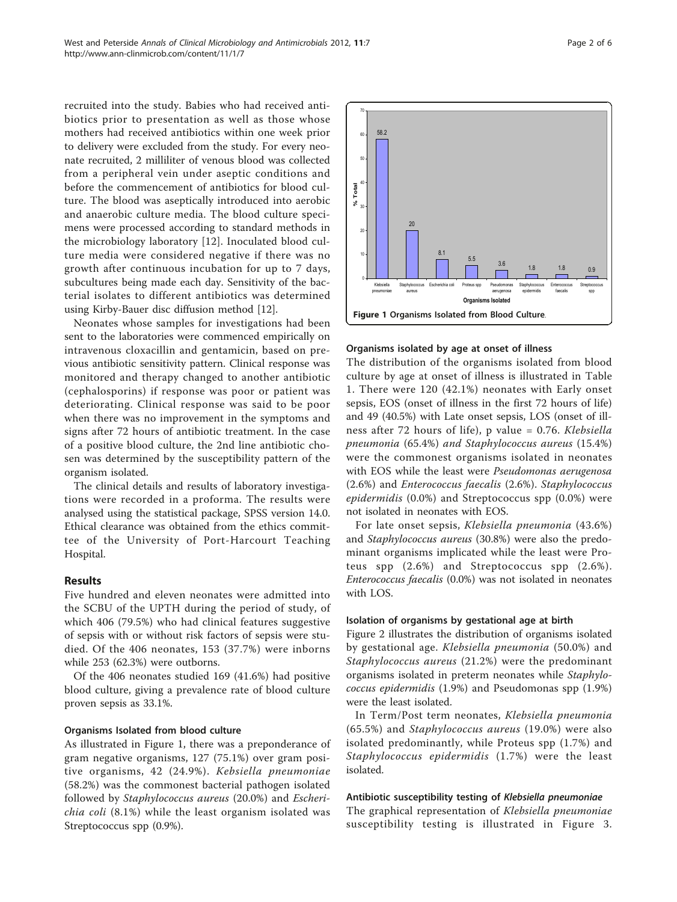recruited into the study. Babies who had received antibiotics prior to presentation as well as those whose mothers had received antibiotics within one week prior to delivery were excluded from the study. For every neonate recruited, 2 milliliter of venous blood was collected from a peripheral vein under aseptic conditions and before the commencement of antibiotics for blood culture. The blood was aseptically introduced into aerobic and anaerobic culture media. The blood culture specimens were processed according to standard methods in the microbiology laboratory [[12\]](#page-4-0). Inoculated blood culture media were considered negative if there was no growth after continuous incubation for up to 7 days, subcultures being made each day. Sensitivity of the bacterial isolates to different antibiotics was determined using Kirby-Bauer disc diffusion method [[12](#page-4-0)].

Neonates whose samples for investigations had been sent to the laboratories were commenced empirically on intravenous cloxacillin and gentamicin, based on previous antibiotic sensitivity pattern. Clinical response was monitored and therapy changed to another antibiotic (cephalosporins) if response was poor or patient was deteriorating. Clinical response was said to be poor when there was no improvement in the symptoms and signs after 72 hours of antibiotic treatment. In the case of a positive blood culture, the 2nd line antibiotic chosen was determined by the susceptibility pattern of the organism isolated.

The clinical details and results of laboratory investigations were recorded in a proforma. The results were analysed using the statistical package, SPSS version 14.0. Ethical clearance was obtained from the ethics committee of the University of Port-Harcourt Teaching Hospital.

# Results

Five hundred and eleven neonates were admitted into the SCBU of the UPTH during the period of study, of which 406 (79.5%) who had clinical features suggestive of sepsis with or without risk factors of sepsis were studied. Of the 406 neonates, 153 (37.7%) were inborns while 253 (62.3%) were outborns.

Of the 406 neonates studied 169 (41.6%) had positive blood culture, giving a prevalence rate of blood culture proven sepsis as 33.1%.

#### Organisms Isolated from blood culture

As illustrated in Figure 1, there was a preponderance of gram negative organisms, 127 (75.1%) over gram positive organisms, 42 (24.9%). Kebsiella pneumoniae (58.2%) was the commonest bacterial pathogen isolated followed by Staphylococcus aureus (20.0%) and Escherichia coli (8.1%) while the least organism isolated was Streptococcus spp (0.9%).



#### Organisms isolated by age at onset of illness

The distribution of the organisms isolated from blood culture by age at onset of illness is illustrated in Table [1.](#page-2-0) There were 120 (42.1%) neonates with Early onset sepsis, EOS (onset of illness in the first 72 hours of life) and 49 (40.5%) with Late onset sepsis, LOS (onset of illness after 72 hours of life), p value = 0.76. Klebsiella pneumonia (65.4%) and Staphylococcus aureus (15.4%) were the commonest organisms isolated in neonates with EOS while the least were Pseudomonas aerugenosa (2.6%) and Enterococcus faecalis (2.6%). Staphylococcus epidermidis (0.0%) and Streptococcus spp (0.0%) were not isolated in neonates with EOS.

For late onset sepsis, Klebsiella pneumonia (43.6%) and Staphylococcus aureus (30.8%) were also the predominant organisms implicated while the least were Proteus spp (2.6%) and Streptococcus spp (2.6%). Enterococcus faecalis (0.0%) was not isolated in neonates with LOS.

#### Isolation of organisms by gestational age at birth

Figure [2](#page-2-0) illustrates the distribution of organisms isolated by gestational age. Klebsiella pneumonia (50.0%) and Staphylococcus aureus (21.2%) were the predominant organisms isolated in preterm neonates while Staphylococcus epidermidis (1.9%) and Pseudomonas spp (1.9%) were the least isolated.

In Term/Post term neonates, Klebsiella pneumonia (65.5%) and Staphylococcus aureus (19.0%) were also isolated predominantly, while Proteus spp (1.7%) and Staphylococcus epidermidis (1.7%) were the least isolated.

#### Antibiotic susceptibility testing of Klebsiella pneumoniae

The graphical representation of Klebsiella pneumoniae susceptibility testing is illustrated in Figure [3](#page-3-0).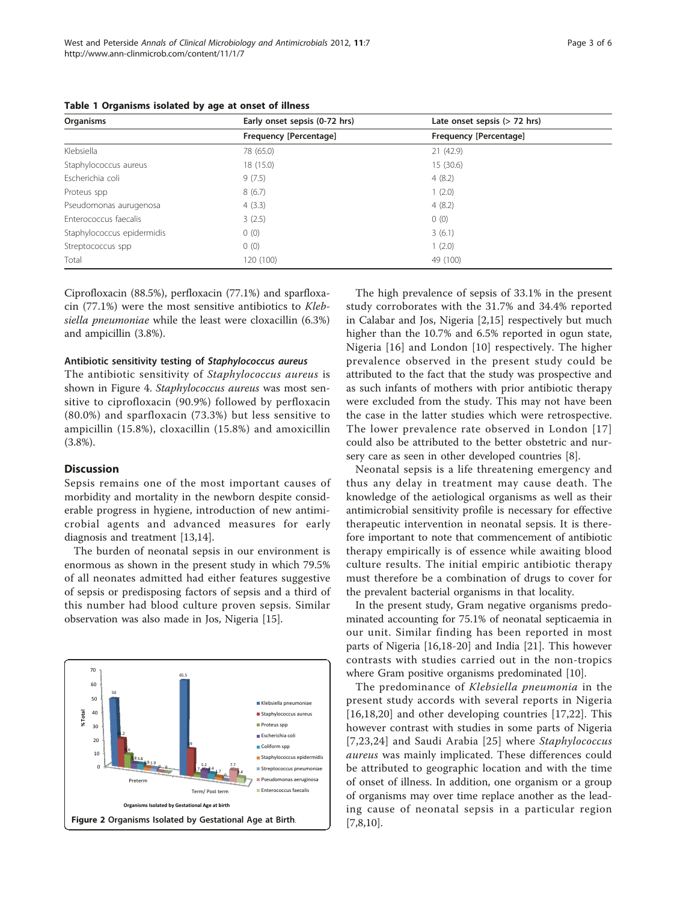| Organisms                  | Early onset sepsis (0-72 hrs) | Late onset sepsis $(> 72$ hrs) |
|----------------------------|-------------------------------|--------------------------------|
|                            | Frequency [Percentage]        | Frequency [Percentage]         |
| Klebsiella                 | 78 (65.0)                     | 21(42.9)                       |
| Staphylococcus aureus      | 18 (15.0)                     | 15(30.6)                       |
| Escherichia coli           | 9(7.5)                        | 4(8.2)                         |
| Proteus spp                | 8(6.7)                        | 1(2.0)                         |
| Pseudomonas aurugenosa     | 4(3.3)                        | 4(8.2)                         |
| Enterococcus faecalis      | 3(2.5)                        | 0(0)                           |
| Staphylococcus epidermidis | 0(0)                          | 3(6.1)                         |
| Streptococcus spp          | 0(0)                          | 1(2.0)                         |
| Total                      | 120 (100)                     | 49 (100)                       |

<span id="page-2-0"></span>Table 1 Organisms isolated by age at onset of illness

Ciprofloxacin (88.5%), perfloxacin (77.1%) and sparfloxacin (77.1%) were the most sensitive antibiotics to Klebsiella pneumoniae while the least were cloxacillin (6.3%) and ampicillin (3.8%).

#### Antibiotic sensitivity testing of Staphylococcus aureus

The antibiotic sensitivity of Staphylococcus aureus is shown in Figure [4.](#page-3-0) Staphylococcus aureus was most sensitive to ciprofloxacin (90.9%) followed by perfloxacin (80.0%) and sparfloxacin (73.3%) but less sensitive to ampicillin (15.8%), cloxacillin (15.8%) and amoxicillin (3.8%).

# **Discussion**

Sepsis remains one of the most important causes of morbidity and mortality in the newborn despite considerable progress in hygiene, introduction of new antimicrobial agents and advanced measures for early diagnosis and treatment [[13](#page-4-0),[14](#page-4-0)].

The burden of neonatal sepsis in our environment is enormous as shown in the present study in which 79.5% of all neonates admitted had either features suggestive of sepsis or predisposing factors of sepsis and a third of this number had blood culture proven sepsis. Similar observation was also made in Jos, Nigeria [[15\]](#page-4-0).



The high prevalence of sepsis of 33.1% in the present study corroborates with the 31.7% and 34.4% reported in Calabar and Jos, Nigeria [\[2](#page-4-0),[15\]](#page-4-0) respectively but much higher than the 10.7% and 6.5% reported in ogun state, Nigeria [[16\]](#page-4-0) and London [[10\]](#page-4-0) respectively. The higher prevalence observed in the present study could be attributed to the fact that the study was prospective and as such infants of mothers with prior antibiotic therapy were excluded from the study. This may not have been the case in the latter studies which were retrospective. The lower prevalence rate observed in London [[17](#page-4-0)] could also be attributed to the better obstetric and nursery care as seen in other developed countries [[8\]](#page-4-0).

Neonatal sepsis is a life threatening emergency and thus any delay in treatment may cause death. The knowledge of the aetiological organisms as well as their antimicrobial sensitivity profile is necessary for effective therapeutic intervention in neonatal sepsis. It is therefore important to note that commencement of antibiotic therapy empirically is of essence while awaiting blood culture results. The initial empiric antibiotic therapy must therefore be a combination of drugs to cover for the prevalent bacterial organisms in that locality.

In the present study, Gram negative organisms predominated accounting for 75.1% of neonatal septicaemia in our unit. Similar finding has been reported in most parts of Nigeria [\[16,18](#page-4-0)-[20\]](#page-4-0) and India [[21\]](#page-5-0). This however contrasts with studies carried out in the non-tropics where Gram positive organisms predominated [\[10\]](#page-4-0).

The predominance of Klebsiella pneumonia in the present study accords with several reports in Nigeria [[16,18](#page-4-0),[20\]](#page-4-0) and other developing countries [[17,](#page-4-0)[22\]](#page-5-0). This however contrast with studies in some parts of Nigeria [[7](#page-4-0),[23,24\]](#page-5-0) and Saudi Arabia [[25](#page-5-0)] where Staphylococcus aureus was mainly implicated. These differences could be attributed to geographic location and with the time of onset of illness. In addition, one organism or a group of organisms may over time replace another as the leading cause of neonatal sepsis in a particular region [[7,8,10\]](#page-4-0).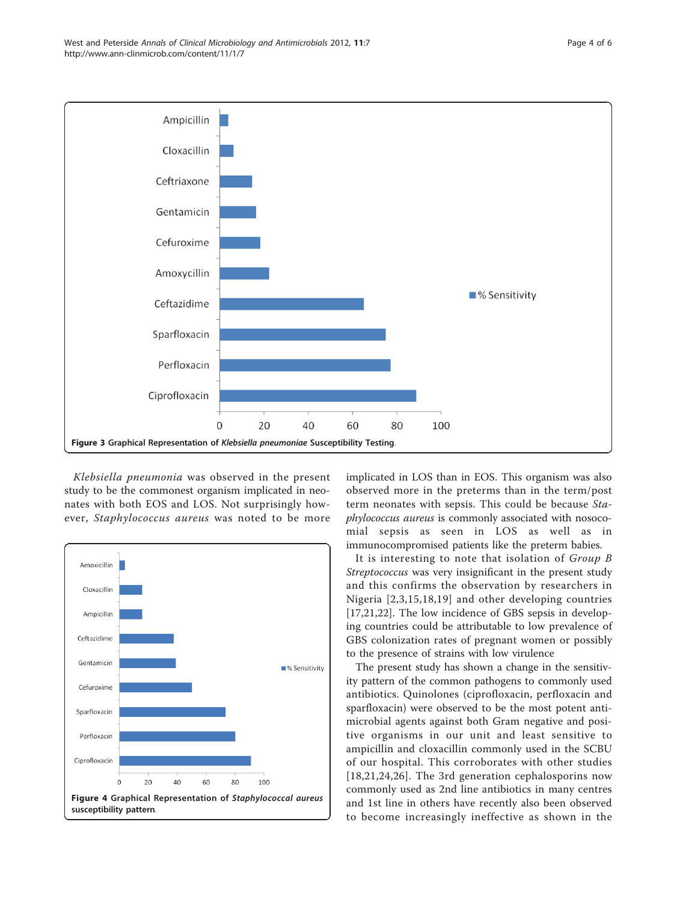<span id="page-3-0"></span>

Klebsiella pneumonia was observed in the present study to be the commonest organism implicated in neonates with both EOS and LOS. Not surprisingly however, Staphylococcus aureus was noted to be more



implicated in LOS than in EOS. This organism was also observed more in the preterms than in the term/post term neonates with sepsis. This could be because Staphylococcus aureus is commonly associated with nosocomial sepsis as seen in LOS as well as in immunocompromised patients like the preterm babies.

It is interesting to note that isolation of Group B Streptococcus was very insignificant in the present study and this confirms the observation by researchers in Nigeria [[2,3](#page-4-0),[15](#page-4-0),[18,19\]](#page-4-0) and other developing countries [[17,](#page-4-0)[21,22](#page-5-0)]. The low incidence of GBS sepsis in developing countries could be attributable to low prevalence of GBS colonization rates of pregnant women or possibly to the presence of strains with low virulence

The present study has shown a change in the sensitivity pattern of the common pathogens to commonly used antibiotics. Quinolones (ciprofloxacin, perfloxacin and sparfloxacin) were observed to be the most potent antimicrobial agents against both Gram negative and positive organisms in our unit and least sensitive to ampicillin and cloxacillin commonly used in the SCBU of our hospital. This corroborates with other studies [[18](#page-4-0),[21,24,26](#page-5-0)]. The 3rd generation cephalosporins now commonly used as 2nd line antibiotics in many centres and 1st line in others have recently also been observed to become increasingly ineffective as shown in the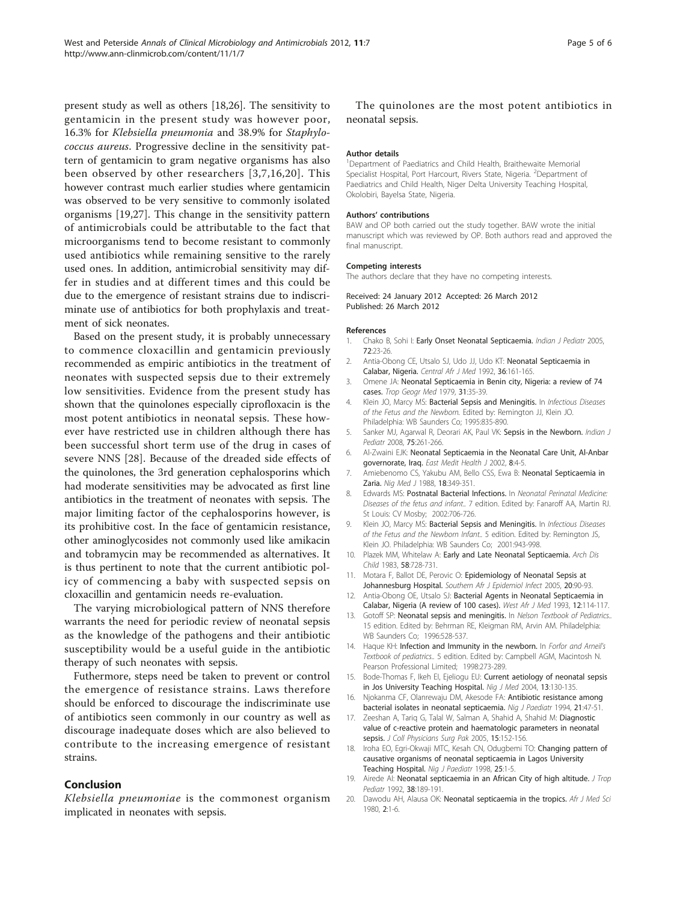<span id="page-4-0"></span>present study as well as others [18[,26\]](#page-5-0). The sensitivity to gentamicin in the present study was however poor, 16.3% for Klebsiella pneumonia and 38.9% for Staphylococcus aureus. Progressive decline in the sensitivity pattern of gentamicin to gram negative organisms has also been observed by other researchers [3,7,16,20]. This however contrast much earlier studies where gentamicin was observed to be very sensitive to commonly isolated organisms [19[,27\]](#page-5-0). This change in the sensitivity pattern of antimicrobials could be attributable to the fact that microorganisms tend to become resistant to commonly used antibiotics while remaining sensitive to the rarely used ones. In addition, antimicrobial sensitivity may differ in studies and at different times and this could be due to the emergence of resistant strains due to indiscriminate use of antibiotics for both prophylaxis and treatment of sick neonates.

Based on the present study, it is probably unnecessary to commence cloxacillin and gentamicin previously recommended as empiric antibiotics in the treatment of neonates with suspected sepsis due to their extremely low sensitivities. Evidence from the present study has shown that the quinolones especially ciprofloxacin is the most potent antibiotics in neonatal sepsis. These however have restricted use in children although there has been successful short term use of the drug in cases of severe NNS [[28\]](#page-5-0). Because of the dreaded side effects of the quinolones, the 3rd generation cephalosporins which had moderate sensitivities may be advocated as first line antibiotics in the treatment of neonates with sepsis. The major limiting factor of the cephalosporins however, is its prohibitive cost. In the face of gentamicin resistance, other aminoglycosides not commonly used like amikacin and tobramycin may be recommended as alternatives. It is thus pertinent to note that the current antibiotic policy of commencing a baby with suspected sepsis on cloxacillin and gentamicin needs re-evaluation.

The varying microbiological pattern of NNS therefore warrants the need for periodic review of neonatal sepsis as the knowledge of the pathogens and their antibiotic susceptibility would be a useful guide in the antibiotic therapy of such neonates with sepsis.

Futhermore, steps need be taken to prevent or control the emergence of resistance strains. Laws therefore should be enforced to discourage the indiscriminate use of antibiotics seen commonly in our country as well as discourage inadequate doses which are also believed to contribute to the increasing emergence of resistant strains.

## Conclusion

Klebsiella pneumoniae is the commonest organism implicated in neonates with sepsis.

The quinolones are the most potent antibiotics in neonatal sepsis.

### Author details

<sup>1</sup>Department of Paediatrics and Child Health, Braithewaite Memorial Specialist Hospital, Port Harcourt, Rivers State, Nigeria. <sup>2</sup>Department of Paediatrics and Child Health, Niger Delta University Teaching Hospital, Okolobiri, Bayelsa State, Nigeria.

#### Authors' contributions

BAW and OP both carried out the study together. BAW wrote the initial manuscript which was reviewed by OP. Both authors read and approved the final manuscript.

#### Competing interests

The authors declare that they have no competing interests.

#### Received: 24 January 2012 Accepted: 26 March 2012 Published: 26 March 2012

#### References

- 1. Chako B, Sohi I: [Early Onset Neonatal Septicaemia.](http://www.ncbi.nlm.nih.gov/pubmed/15684443?dopt=Abstract) Indian J Pediatr 2005, 72:23-26.
- 2. Antia-Obong CE, Utsalo SJ, Udo JJ, Udo KT: Neonatal Septicaemia in Calabar, Nigeria. Central Afr J Med 1992, 36:161-165.
- 3. Omene JA: [Neonatal Septicaemia in Benin city, Nigeria: a review of 74](http://www.ncbi.nlm.nih.gov/pubmed/384626?dopt=Abstract) [cases.](http://www.ncbi.nlm.nih.gov/pubmed/384626?dopt=Abstract) Trop Geogr Med 1979, 31:35-39.
- 4. Klein JO, Marcy MS: Bacterial Sepsis and Meningitis. In Infectious Diseases of the Fetus and the Newborn. Edited by: Remington JJ, Klein JO. Philadelphia: WB Saunders Co; 1995:835-890.
- 5. Sanker MJ, Agarwal R, Deorari AK, Paul VK: [Sepsis in the Newborn.](http://www.ncbi.nlm.nih.gov/pubmed/18376095?dopt=Abstract) Indian J Pediatr 2008, 75:261-266.
- 6. Al-Zwaini EJK: Neonatal Septicaemia in the Neonatal Care Unit, Al-Anbar governorate, Iraq. East Medit Health J 2002, 8:4-5.
- 7. Amiebenomo CS, Yakubu AM, Bello CSS, Ewa B: Neonatal Septicaemia in Zaria. Nig Med J 1988, 18:349-351.
- 8. Edwards MS: Postnatal Bacterial Infections. In Neonatal Perinatal Medicine: Diseases of the fetus and infant.. 7 edition. Edited by: Fanaroff AA, Martin RJ. St Louis: CV Mosby; 2002:706-726.
- 9. Klein JO, Marcy MS: Bacterial Sepsis and Meningitis. In Infectious Diseases of the Fetus and the Newborn Infant.. 5 edition. Edited by: Remington JS, Klein JO. Philadelphia: WB Saunders Co; 2001:943-998.
- 10. Plazek MM, Whitelaw A: [Early and Late Neonatal Septicaemia.](http://www.ncbi.nlm.nih.gov/pubmed/6625634?dopt=Abstract) Arch Dis Child 1983, 58:728-731.
- 11. Motara F, Ballot DE, Perovic O: Epidemiology of Neonatal Sepsis at Johannesburg Hospital. Southern Afr J Epidemiol Infect 2005, 20:90-93.
- 12. Antia-Obong OE, Utsalo SJ: [Bacterial Agents in Neonatal Septicaemia in](http://www.ncbi.nlm.nih.gov/pubmed/8398930?dopt=Abstract) [Calabar, Nigeria \(A review of 100 cases\).](http://www.ncbi.nlm.nih.gov/pubmed/8398930?dopt=Abstract) West Afr J Med 1993, 12:114-117.
- 13. Gotoff SP: Neonatal sepsis and meningitis. In Nelson Textbook of Pediatrics.. 15 edition. Edited by: Behrman RE, Kleigman RM, Arvin AM. Philadelphia: WB Saunders Co; 1996:528-537.
- 14. Haque KH: [Infection and Immunity in the newborn.](http://www.ncbi.nlm.nih.gov/pubmed/17287971?dopt=Abstract) In Forfor and Arneil's Textbook of pediatrics.. 5 edition. Edited by: Campbell AGM, Macintosh N. Pearson Professional Limited; 1998:273-289.
- 15. Bode-Thomas F, Ikeh EI, Ejeliogu EU: Current aetiology of neonatal sepsis in Jos University Teaching Hospital. Nig J Med 2004, 13:130-135.
- 16. Njokanma CF, Olanrewaju DM, Akesode FA: Antibiotic resistance among bacterial isolates in neonatal septicaemia. Nig J Paediatr 1994, 21:47-51.
- 17. Zeeshan A, Tariq G, Talal W, Salman A, Shahid A, Shahid M: [Diagnostic](http://www.ncbi.nlm.nih.gov/pubmed/15808093?dopt=Abstract) [value of c-reactive protein and haematologic parameters in neonatal](http://www.ncbi.nlm.nih.gov/pubmed/15808093?dopt=Abstract) [sepsis.](http://www.ncbi.nlm.nih.gov/pubmed/15808093?dopt=Abstract) J Coll Physicians Surg Pak 2005, 15:152-156.
- 18. Iroha EO, Egri-Okwaji MTC, Kesah CN, Odugbemi TO: Changing pattern of causative organisms of neonatal septicaemia in Lagos University Teaching Hospital. Nig J Paediatr 1998, 25:1-5.
- 19. Airede AI: [Neonatal septicaemia in an African City of high altitude.](http://www.ncbi.nlm.nih.gov/pubmed/1527816?dopt=Abstract) J Trop Pediatr 1992, 38:189-191.
- 20. Dawodu AH, Alausa OK: Neonatal septicaemia in the tropics. Afr J Med Sci 1980, 2:1-6.